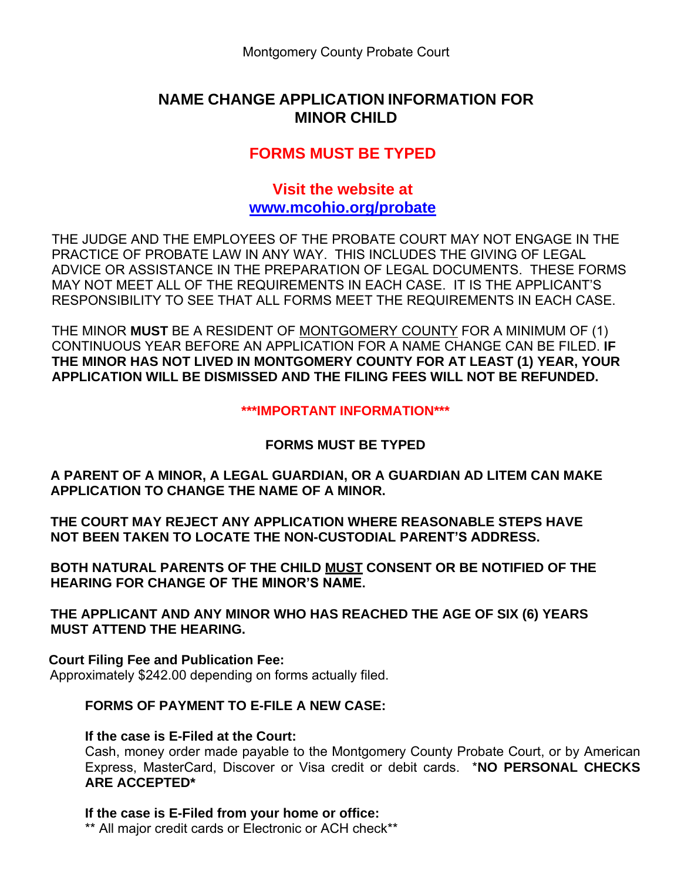## **NAME CHANGE APPLICATION INFORMATION FOR MINOR CHILD**

# **FORMS MUST BE TYPED**

### **Visit the website at [www.mcohio.org/probate](http://www.mcohio.org/probate)**

THE JUDGE AND THE EMPLOYEES OF THE PROBATE COURT MAY NOT ENGAGE IN THE PRACTICE OF PROBATE LAW IN ANY WAY. THIS INCLUDES THE GIVING OF LEGAL ADVICE OR ASSISTANCE IN THE PREPARATION OF LEGAL DOCUMENTS. THESE FORMS MAY NOT MEET ALL OF THE REQUIREMENTS IN EACH CASE. IT IS THE APPLICANT'S RESPONSIBILITY TO SEE THAT ALL FORMS MEET THE REQUIREMENTS IN EACH CASE.

THE MINOR **MUST** BE A RESIDENT OF MONTGOMERY COUNTY FOR A MINIMUM OF (1) CONTINUOUS YEAR BEFORE AN APPLICATION FOR A NAME CHANGE CAN BE FILED. **IF THE MINOR HAS NOT LIVED IN MONTGOMERY COUNTY FOR AT LEAST (1) YEAR, YOUR APPLICATION WILL BE DISMISSED AND THE FILING FEES WILL NOT BE REFUNDED.**

**\*\*\*IMPORTANT INFORMATION\*\*\***

#### **FORMS MUST BE TYPED**

**A PARENT OF A MINOR, A LEGAL GUARDIAN, OR A GUARDIAN AD LITEM CAN MAKE APPLICATION TO CHANGE THE NAME OF A MINOR.**

**THE COURT MAY REJECT ANY APPLICATION WHERE REASONABLE STEPS HAVE NOT BEEN TAKEN TO LOCATE THE NON-CUSTODIAL PARENT'S ADDRESS.**

**BOTH NATURAL PARENTS OF THE CHILD MUST CONSENT OR BE NOTIFIED OF THE HEARING FOR CHANGE OF THE MINOR'S NAME.**

**THE APPLICANT AND ANY MINOR WHO HAS REACHED THE AGE OF SIX (6) YEARS MUST ATTEND THE HEARING.**

**Court Filing Fee and Publication Fee:** Approximately \$242.00 depending on forms actually filed.

# **FORMS OF PAYMENT TO E-FILE A NEW CASE:**

#### **If the case is E-Filed at the Court:**

Cash, money order made payable to the Montgomery County Probate Court, or by American Express, MasterCard, Discover or Visa credit or debit cards. \***NO PERSONAL CHECKS ARE ACCEPTED\***

#### **If the case is E-Filed from your home or office:**

\*\* All major credit cards or Electronic or ACH check\*\*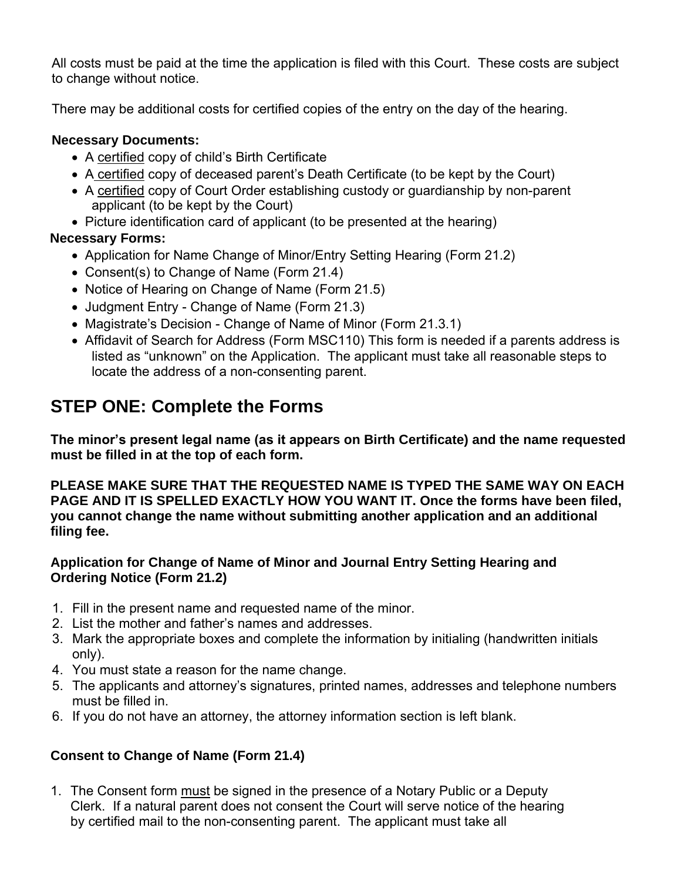All costs must be paid at the time the application is filed with this Court. These costs are subject to change without notice.

There may be additional costs for certified copies of the entry on the day of the hearing.

### **Necessary Documents:**

- A certified copy of child's Birth Certificate
- A certified copy of deceased parent's Death Certificate (to be kept by the Court)
- A certified copy of Court Order establishing custody or guardianship by non-parent applicant (to be kept by the Court)
- Picture identification card of applicant (to be presented at the hearing)

### **Necessary Forms:**

- Application for Name Change of Minor/Entry Setting Hearing (Form 21.2)
- Consent(s) to Change of Name (Form 21.4)
- Notice of Hearing on Change of Name (Form 21.5)
- Judgment Entry Change of Name (Form 21.3)
- Magistrate's Decision Change of Name of Minor (Form 21.3.1)
- Affidavit of Search for Address (Form MSC110) This form is needed if a parents address is listed as "unknown" on the Application. The applicant must take all reasonable steps to locate the address of a non-consenting parent.

# **STEP ONE: Complete the Forms**

**The minor's present legal name (as it appears on Birth Certificate) and the name requested must be filled in at the top of each form.**

**PLEASE MAKE SURE THAT THE REQUESTED NAME IS TYPED THE SAME WAY ON EACH PAGE AND IT IS SPELLED EXACTLY HOW YOU WANT IT. Once the forms have been filed, you cannot change the name without submitting another application and an additional filing fee.**

### **Application for Change of Name of Minor and Journal Entry Setting Hearing and Ordering Notice (Form 21.2)**

- 1. Fill in the present name and requested name of the minor.
- 2. List the mother and father's names and addresses.
- 3. Mark the appropriate boxes and complete the information by initialing (handwritten initials only).
- 4. You must state a reason for the name change.
- 5. The applicants and attorney's signatures, printed names, addresses and telephone numbers must be filled in.
- 6. If you do not have an attorney, the attorney information section is left blank.

## **Consent to Change of Name (Form 21.4)**

1. The Consent form must be signed in the presence of a Notary Public or a Deputy Clerk. If a natural parent does not consent the Court will serve notice of the hearing by certified mail to the non-consenting parent. The applicant must take all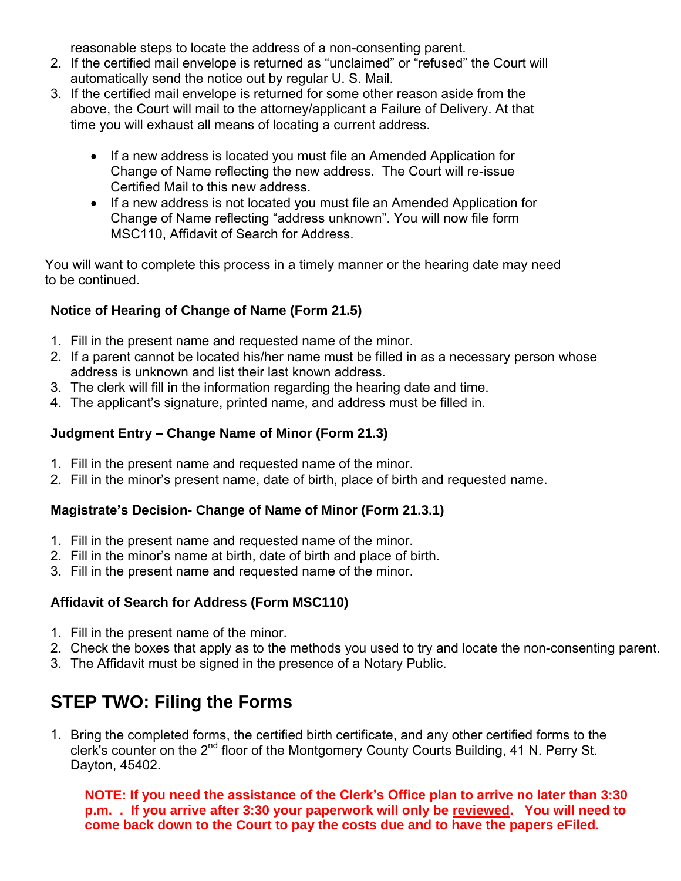reasonable steps to locate the address of a non-consenting parent.

- 2. If the certified mail envelope is returned as "unclaimed" or "refused" the Court will automatically send the notice out by regular U. S. Mail.
- 3. If the certified mail envelope is returned for some other reason aside from the above, the Court will mail to the attorney/applicant a Failure of Delivery. At that time you will exhaust all means of locating a current address.
	- If a new address is located you must file an Amended Application for Change of Name reflecting the new address. The Court will re-issue Certified Mail to this new address.
	- If a new address is not located you must file an Amended Application for Change of Name reflecting "address unknown". You will now file form MSC110, Affidavit of Search for Address.

You will want to complete this process in a timely manner or the hearing date may need to be continued.

### **Notice of Hearing of Change of Name (Form 21.5)**

- 1. Fill in the present name and requested name of the minor.
- 2. If a parent cannot be located his/her name must be filled in as a necessary person whose address is unknown and list their last known address.
- 3. The clerk will fill in the information regarding the hearing date and time.
- 4. The applicant's signature, printed name, and address must be filled in.

#### **Judgment Entry – Change Name of Minor (Form 21.3)**

- 1. Fill in the present name and requested name of the minor.
- 2. Fill in the minor's present name, date of birth, place of birth and requested name.

#### **Magistrate's Decision- Change of Name of Minor (Form 21.3.1)**

- 1. Fill in the present name and requested name of the minor.
- 2. Fill in the minor's name at birth, date of birth and place of birth.
- 3. Fill in the present name and requested name of the minor.

#### **Affidavit of Search for Address (Form MSC110)**

- 1. Fill in the present name of the minor.
- 2. Check the boxes that apply as to the methods you used to try and locate the non-consenting parent.
- 3. The Affidavit must be signed in the presence of a Notary Public.

# **STEP TWO: Filing the Forms**

1. Bring the completed forms, the certified birth certificate, and any other certified forms to the clerk's counter on the 2<sup>nd</sup> floor of the Montgomery County Courts Building, 41 N. Perry St. Dayton, 45402.

**NOTE: If you need the assistance of the Clerk's Office plan to arrive no later than 3:30 p.m. . If you arrive after 3:30 your paperwork will only be reviewed. You will need to come back down to the Court to pay the costs due and to have the papers eFiled.**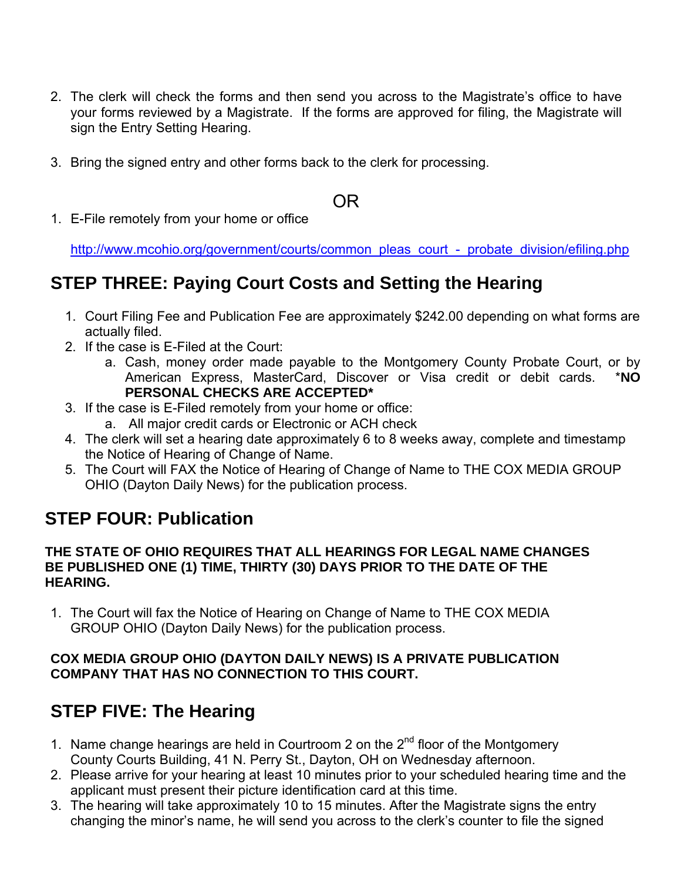- 2. The clerk will check the forms and then send you across to the Magistrate's office to have your forms reviewed by a Magistrate. If the forms are approved for filing, the Magistrate will sign the Entry Setting Hearing.
- 3. Bring the signed entry and other forms back to the clerk for processing.

# OR

1. E-File remotely from your home or office

[http://www.mcohio.org/government/courts/common\\_pleas\\_court\\_-\\_probate\\_division/efiling.php](http://www.mcohio.org/government/courts/common_pleas_court_-_probate_division/efiling.php)

# **STEP THREE: Paying Court Costs and Setting the Hearing**

- 1. Court Filing Fee and Publication Fee are approximately \$242.00 depending on what forms are actually filed.
- 2. If the case is E-Filed at the Court:
	- a. Cash, money order made payable to the Montgomery County Probate Court, or by American Express, MasterCard, Discover or Visa credit or debit cards. \***NO PERSONAL CHECKS ARE ACCEPTED\***
- 3. If the case is E-Filed remotely from your home or office:
	- a. All major credit cards or Electronic or ACH check
- 4. The clerk will set a hearing date approximately 6 to 8 weeks away, complete and timestamp the Notice of Hearing of Change of Name.
- 5. The Court will FAX the Notice of Hearing of Change of Name to THE COX MEDIA GROUP OHIO (Dayton Daily News) for the publication process.

# **STEP FOUR: Publication**

#### **THE STATE OF OHIO REQUIRES THAT ALL HEARINGS FOR LEGAL NAME CHANGES BE PUBLISHED ONE (1) TIME, THIRTY (30) DAYS PRIOR TO THE DATE OF THE HEARING.**

1. The Court will fax the Notice of Hearing on Change of Name to THE COX MEDIA GROUP OHIO (Dayton Daily News) for the publication process.

#### **COX MEDIA GROUP OHIO (DAYTON DAILY NEWS) IS A PRIVATE PUBLICATION COMPANY THAT HAS NO CONNECTION TO THIS COURT.**

# **STEP FIVE: The Hearing**

- 1. Name change hearings are held in Courtroom 2 on the  $2<sup>nd</sup>$  floor of the Montgomery County Courts Building, 41 N. Perry St., Dayton, OH on Wednesday afternoon.
- 2. Please arrive for your hearing at least 10 minutes prior to your scheduled hearing time and the applicant must present their picture identification card at this time.
- 3. The hearing will take approximately 10 to 15 minutes. After the Magistrate signs the entry changing the minor's name, he will send you across to the clerk's counter to file the signed